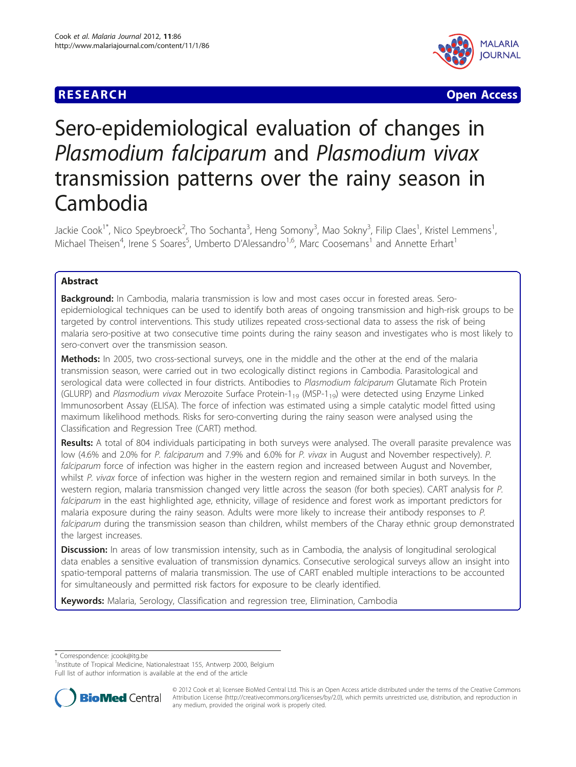## **RESEARCH CONSTRUCTION CONTROL**



# Sero-epidemiological evaluation of changes in Plasmodium falciparum and Plasmodium vivax transmission patterns over the rainy season in Cambodia

Jackie Cook<sup>1\*</sup>, Nico Speybroeck<sup>2</sup>, Tho Sochanta<sup>3</sup>, Heng Somony<sup>3</sup>, Mao Sokny<sup>3</sup>, Filip Claes<sup>1</sup>, Kristel Lemmens<sup>1</sup> , Michael Theisen<sup>4</sup>, Irene S Soares<sup>5</sup>, Umberto D'Alessandro<sup>1,6</sup>, Marc Coosemans<sup>1</sup> and Annette Erhart<sup>1</sup>

## Abstract

**Background:** In Cambodia, malaria transmission is low and most cases occur in forested areas. Seroepidemiological techniques can be used to identify both areas of ongoing transmission and high-risk groups to be targeted by control interventions. This study utilizes repeated cross-sectional data to assess the risk of being malaria sero-positive at two consecutive time points during the rainy season and investigates who is most likely to sero-convert over the transmission season.

Methods: In 2005, two cross-sectional surveys, one in the middle and the other at the end of the malaria transmission season, were carried out in two ecologically distinct regions in Cambodia. Parasitological and serological data were collected in four districts. Antibodies to Plasmodium falciparum Glutamate Rich Protein (GLURP) and Plasmodium vivax Merozoite Surface Protein-1<sub>19</sub> (MSP-1<sub>19</sub>) were detected using Enzyme Linked Immunosorbent Assay (ELISA). The force of infection was estimated using a simple catalytic model fitted using maximum likelihood methods. Risks for sero-converting during the rainy season were analysed using the Classification and Regression Tree (CART) method.

Results: A total of 804 individuals participating in both surveys were analysed. The overall parasite prevalence was low (4.6% and 2.0% for P. falciparum and 7.9% and 6.0% for P. vivax in August and November respectively). P. falciparum force of infection was higher in the eastern region and increased between August and November, whilst P. vivax force of infection was higher in the western region and remained similar in both surveys. In the western region, malaria transmission changed very little across the season (for both species). CART analysis for P. falciparum in the east highlighted age, ethnicity, village of residence and forest work as important predictors for malaria exposure during the rainy season. Adults were more likely to increase their antibody responses to P. falciparum during the transmission season than children, whilst members of the Charay ethnic group demonstrated the largest increases.

Discussion: In areas of low transmission intensity, such as in Cambodia, the analysis of longitudinal serological data enables a sensitive evaluation of transmission dynamics. Consecutive serological surveys allow an insight into spatio-temporal patterns of malaria transmission. The use of CART enabled multiple interactions to be accounted for simultaneously and permitted risk factors for exposure to be clearly identified.

Keywords: Malaria, Serology, Classification and regression tree, Elimination, Cambodia

\* Correspondence: [jcook@itg.be](mailto:jcook@itg.be)

<sup>&</sup>lt;sup>1</sup>Institute of Tropical Medicine, Nationalestraat 155, Antwerp 2000, Belgium Full list of author information is available at the end of the article



<sup>© 2012</sup> Cook et al; licensee BioMed Central Ltd. This is an Open Access article distributed under the terms of the Creative Commons Attribution License [\(http://creativecommons.org/licenses/by/2.0](http://creativecommons.org/licenses/by/2.0)), which permits unrestricted use, distribution, and reproduction in any medium, provided the original work is properly cited.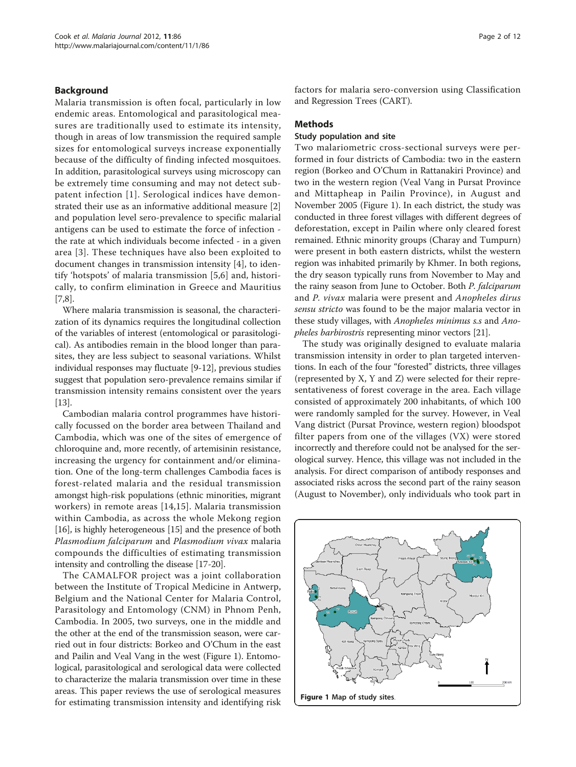#### <span id="page-1-0"></span>Background

Malaria transmission is often focal, particularly in low endemic areas. Entomological and parasitological measures are traditionally used to estimate its intensity, though in areas of low transmission the required sample sizes for entomological surveys increase exponentially because of the difficulty of finding infected mosquitoes. In addition, parasitological surveys using microscopy can be extremely time consuming and may not detect subpatent infection [[1\]](#page-10-0). Serological indices have demonstrated their use as an informative additional measure [[2](#page-10-0)] and population level sero-prevalence to specific malarial antigens can be used to estimate the force of infection the rate at which individuals become infected - in a given area [[3](#page-10-0)]. These techniques have also been exploited to document changes in transmission intensity [[4\]](#page-10-0), to identify 'hotspots' of malaria transmission [[5,6](#page-10-0)] and, historically, to confirm elimination in Greece and Mauritius [[7,8\]](#page-10-0).

Where malaria transmission is seasonal, the characterization of its dynamics requires the longitudinal collection of the variables of interest (entomological or parasitological). As antibodies remain in the blood longer than parasites, they are less subject to seasonal variations. Whilst individual responses may fluctuate [\[9](#page-10-0)-[12](#page-11-0)], previous studies suggest that population sero-prevalence remains similar if transmission intensity remains consistent over the years [[13](#page-11-0)].

Cambodian malaria control programmes have historically focussed on the border area between Thailand and Cambodia, which was one of the sites of emergence of chloroquine and, more recently, of artemisinin resistance, increasing the urgency for containment and/or elimination. One of the long-term challenges Cambodia faces is forest-related malaria and the residual transmission amongst high-risk populations (ethnic minorities, migrant workers) in remote areas [[14,15](#page-11-0)]. Malaria transmission within Cambodia, as across the whole Mekong region [[16](#page-11-0)], is highly heterogeneous [\[15\]](#page-11-0) and the presence of both Plasmodium falciparum and Plasmodium vivax malaria compounds the difficulties of estimating transmission intensity and controlling the disease [\[17-20](#page-11-0)].

The CAMALFOR project was a joint collaboration between the Institute of Tropical Medicine in Antwerp, Belgium and the National Center for Malaria Control, Parasitology and Entomology (CNM) in Phnom Penh, Cambodia. In 2005, two surveys, one in the middle and the other at the end of the transmission season, were carried out in four districts: Borkeo and O'Chum in the east and Pailin and Veal Vang in the west (Figure 1). Entomological, parasitological and serological data were collected to characterize the malaria transmission over time in these areas. This paper reviews the use of serological measures for estimating transmission intensity and identifying risk factors for malaria sero-conversion using Classification and Regression Trees (CART).

#### **Methods**

## Study population and site

Two malariometric cross-sectional surveys were performed in four districts of Cambodia: two in the eastern region (Borkeo and O'Chum in Rattanakiri Province) and two in the western region (Veal Vang in Pursat Province and Mittapheap in Pailin Province), in August and November 2005 (Figure 1). In each district, the study was conducted in three forest villages with different degrees of deforestation, except in Pailin where only cleared forest remained. Ethnic minority groups (Charay and Tumpurn) were present in both eastern districts, whilst the western region was inhabited primarily by Khmer. In both regions, the dry season typically runs from November to May and the rainy season from June to October. Both P. falciparum and P. vivax malaria were present and Anopheles dirus sensu stricto was found to be the major malaria vector in these study villages, with Anopheles minimus s.s and Anopheles barbirostris representing minor vectors [\[21\]](#page-11-0).

The study was originally designed to evaluate malaria transmission intensity in order to plan targeted interventions. In each of the four "forested" districts, three villages (represented by X, Y and Z) were selected for their representativeness of forest coverage in the area. Each village consisted of approximately 200 inhabitants, of which 100 were randomly sampled for the survey. However, in Veal Vang district (Pursat Province, western region) bloodspot filter papers from one of the villages (VX) were stored incorrectly and therefore could not be analysed for the serological survey. Hence, this village was not included in the analysis. For direct comparison of antibody responses and associated risks across the second part of the rainy season (August to November), only individuals who took part in

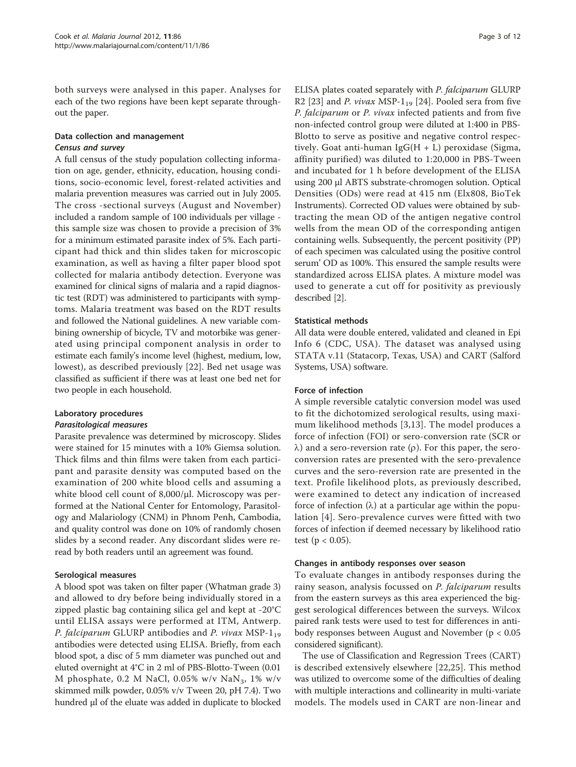both surveys were analysed in this paper. Analyses for each of the two regions have been kept separate throughout the paper.

## Data collection and management Census and survey

A full census of the study population collecting information on age, gender, ethnicity, education, housing conditions, socio-economic level, forest-related activities and malaria prevention measures was carried out in July 2005. The cross -sectional surveys (August and November) included a random sample of 100 individuals per village this sample size was chosen to provide a precision of 3% for a minimum estimated parasite index of 5%. Each participant had thick and thin slides taken for microscopic examination, as well as having a filter paper blood spot collected for malaria antibody detection. Everyone was examined for clinical signs of malaria and a rapid diagnostic test (RDT) was administered to participants with symptoms. Malaria treatment was based on the RDT results and followed the National guidelines. A new variable combining ownership of bicycle, TV and motorbike was generated using principal component analysis in order to estimate each family's income level (highest, medium, low, lowest), as described previously [\[22](#page-11-0)]. Bed net usage was classified as sufficient if there was at least one bed net for two people in each household.

## Laboratory procedures

#### Parasitological measures

Parasite prevalence was determined by microscopy. Slides were stained for 15 minutes with a 10% Giemsa solution. Thick films and thin films were taken from each participant and parasite density was computed based on the examination of 200 white blood cells and assuming a white blood cell count of 8,000/μl. Microscopy was performed at the National Center for Entomology, Parasitology and Malariology (CNM) in Phnom Penh, Cambodia, and quality control was done on 10% of randomly chosen slides by a second reader. Any discordant slides were reread by both readers until an agreement was found.

## Serological measures

A blood spot was taken on filter paper (Whatman grade 3) and allowed to dry before being individually stored in a zipped plastic bag containing silica gel and kept at -20°C until ELISA assays were performed at ITM, Antwerp. *P. falciparum* GLURP antibodies and *P. vivax* MSP-1<sub>19</sub> antibodies were detected using ELISA. Briefly, from each blood spot, a disc of 5 mm diameter was punched out and eluted overnight at 4°C in 2 ml of PBS-Blotto-Tween (0.01 M phosphate, 0.2 M NaCl, 0.05% w/v NaN<sub>3</sub>, 1% w/v skimmed milk powder, 0.05% v/v Tween 20, pH 7.4). Two hundred μl of the eluate was added in duplicate to blocked ELISA plates coated separately with P. falciparum GLURP R2 [[23\]](#page-11-0) and P. vivax MSP-1<sub>19</sub> [[24\]](#page-11-0). Pooled sera from five P. falciparum or P. vivax infected patients and from five non-infected control group were diluted at 1:400 in PBS-Blotto to serve as positive and negative control respectively. Goat anti-human Ig $G(H + L)$  peroxidase (Sigma, affinity purified) was diluted to 1:20,000 in PBS-Tween and incubated for 1 h before development of the ELISA using 200 μl ABTS substrate-chromogen solution. Optical Densities (ODs) were read at 415 nm (Elx808, BioTek Instruments). Corrected OD values were obtained by subtracting the mean OD of the antigen negative control wells from the mean OD of the corresponding antigen containing wells. Subsequently, the percent positivity (PP) of each specimen was calculated using the positive control serum' OD as 100%. This ensured the sample results were standardized across ELISA plates. A mixture model was used to generate a cut off for positivity as previously described [\[2](#page-10-0)].

#### Statistical methods

All data were double entered, validated and cleaned in Epi Info 6 (CDC, USA). The dataset was analysed using STATA v.11 (Statacorp, Texas, USA) and CART (Salford Systems, USA) software.

#### Force of infection

A simple reversible catalytic conversion model was used to fit the dichotomized serological results, using maximum likelihood methods [[3,](#page-10-0)[13](#page-11-0)]. The model produces a force of infection (FOI) or sero-conversion rate (SCR or  $\lambda$ ) and a sero-reversion rate ( $\rho$ ). For this paper, the seroconversion rates are presented with the sero-prevalence curves and the sero-reversion rate are presented in the text. Profile likelihood plots, as previously described, were examined to detect any indication of increased force of infection  $(\lambda)$  at a particular age within the population [[4\]](#page-10-0). Sero-prevalence curves were fitted with two forces of infection if deemed necessary by likelihood ratio test ( $p < 0.05$ ).

#### Changes in antibody responses over season

To evaluate changes in antibody responses during the rainy season, analysis focussed on P. falciparum results from the eastern surveys as this area experienced the biggest serological differences between the surveys. Wilcox paired rank tests were used to test for differences in antibody responses between August and November (p < 0.05 considered significant).

The use of Classification and Regression Trees (CART) is described extensively elsewhere [[22,25](#page-11-0)]. This method was utilized to overcome some of the difficulties of dealing with multiple interactions and collinearity in multi-variate models. The models used in CART are non-linear and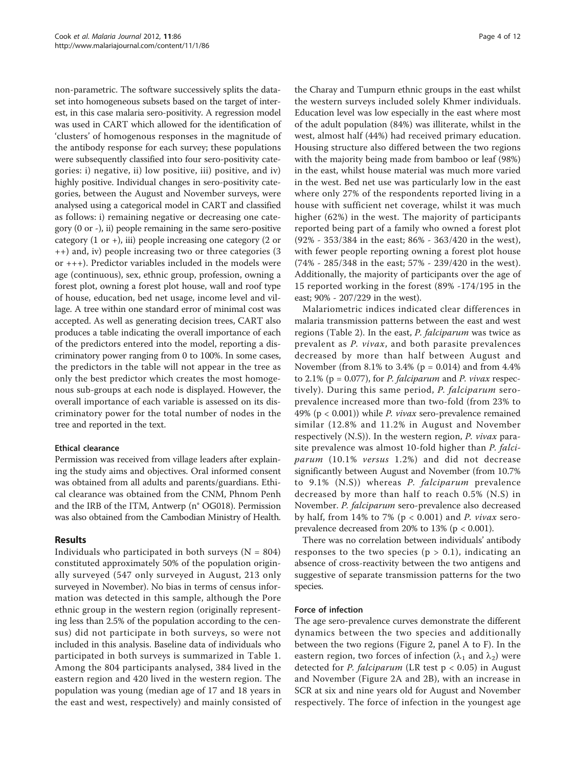non-parametric. The software successively splits the dataset into homogeneous subsets based on the target of interest, in this case malaria sero-positivity. A regression model was used in CART which allowed for the identification of 'clusters' of homogenous responses in the magnitude of the antibody response for each survey; these populations were subsequently classified into four sero-positivity categories: i) negative, ii) low positive, iii) positive, and iv) highly positive. Individual changes in sero-positivity categories, between the August and November surveys, were analysed using a categorical model in CART and classified as follows: i) remaining negative or decreasing one category (0 or -), ii) people remaining in the same sero-positive category  $(1 \text{ or } +)$ , iii) people increasing one category  $(2 \text{ or } +)$ ++) and, iv) people increasing two or three categories (3 or +++). Predictor variables included in the models were age (continuous), sex, ethnic group, profession, owning a forest plot, owning a forest plot house, wall and roof type of house, education, bed net usage, income level and village. A tree within one standard error of minimal cost was accepted. As well as generating decision trees, CART also produces a table indicating the overall importance of each of the predictors entered into the model, reporting a discriminatory power ranging from 0 to 100%. In some cases, the predictors in the table will not appear in the tree as only the best predictor which creates the most homogenous sub-groups at each node is displayed. However, the overall importance of each variable is assessed on its discriminatory power for the total number of nodes in the tree and reported in the text.

## Ethical clearance

Permission was received from village leaders after explaining the study aims and objectives. Oral informed consent was obtained from all adults and parents/guardians. Ethical clearance was obtained from the CNM, Phnom Penh and the IRB of the ITM, Antwerp (n° OG018). Permission was also obtained from the Cambodian Ministry of Health.

## Results

Individuals who participated in both surveys ( $N = 804$ ) constituted approximately 50% of the population originally surveyed (547 only surveyed in August, 213 only surveyed in November). No bias in terms of census information was detected in this sample, although the Pore ethnic group in the western region (originally representing less than 2.5% of the population according to the census) did not participate in both surveys, so were not included in this analysis. Baseline data of individuals who participated in both surveys is summarized in Table [1](#page-4-0). Among the 804 participants analysed, 384 lived in the eastern region and 420 lived in the western region. The population was young (median age of 17 and 18 years in the east and west, respectively) and mainly consisted of

the Charay and Tumpurn ethnic groups in the east whilst the western surveys included solely Khmer individuals. Education level was low especially in the east where most of the adult population (84%) was illiterate, whilst in the west, almost half (44%) had received primary education. Housing structure also differed between the two regions with the majority being made from bamboo or leaf (98%) in the east, whilst house material was much more varied in the west. Bed net use was particularly low in the east where only 27% of the respondents reported living in a house with sufficient net coverage, whilst it was much higher (62%) in the west. The majority of participants reported being part of a family who owned a forest plot (92% - 353/384 in the east; 86% - 363/420 in the west), with fewer people reporting owning a forest plot house (74% - 285/348 in the east; 57% - 239/420 in the west). Additionally, the majority of participants over the age of 15 reported working in the forest (89% -174/195 in the east; 90% - 207/229 in the west).

Malariometric indices indicated clear differences in malaria transmission patterns between the east and west regions (Table [2](#page-5-0)). In the east, P. falciparum was twice as prevalent as P. vivax, and both parasite prevalences decreased by more than half between August and November (from 8.1% to 3.4% ( $p = 0.014$ ) and from 4.4% to 2.1% ( $p = 0.077$ ), for *P. falciparum* and *P. vivax* respectively). During this same period, P. falciparum seroprevalence increased more than two-fold (from 23% to 49% (p < 0.001)) while P. vivax sero-prevalence remained similar (12.8% and 11.2% in August and November respectively (N.S)). In the western region, P. vivax parasite prevalence was almost 10-fold higher than P. falciparum (10.1% versus 1.2%) and did not decrease significantly between August and November (from 10.7% to 9.1% (N.S)) whereas P. falciparum prevalence decreased by more than half to reach 0.5% (N.S) in November. P. falciparum sero-prevalence also decreased by half, from 14% to 7% ( $p < 0.001$ ) and P. vivax seroprevalence decreased from 20% to 13% (p < 0.001).

There was no correlation between individuals' antibody responses to the two species ( $p > 0.1$ ), indicating an absence of cross-reactivity between the two antigens and suggestive of separate transmission patterns for the two species.

## Force of infection

The age sero-prevalence curves demonstrate the different dynamics between the two species and additionally between the two regions (Figure [2,](#page-6-0) panel A to F). In the eastern region, two forces of infection ( $\lambda_1$  and  $\lambda_2$ ) were detected for P. falciparum (LR test p < 0.05) in August and November (Figure [2A](#page-6-0) and [2B](#page-6-0)), with an increase in SCR at six and nine years old for August and November respectively. The force of infection in the youngest age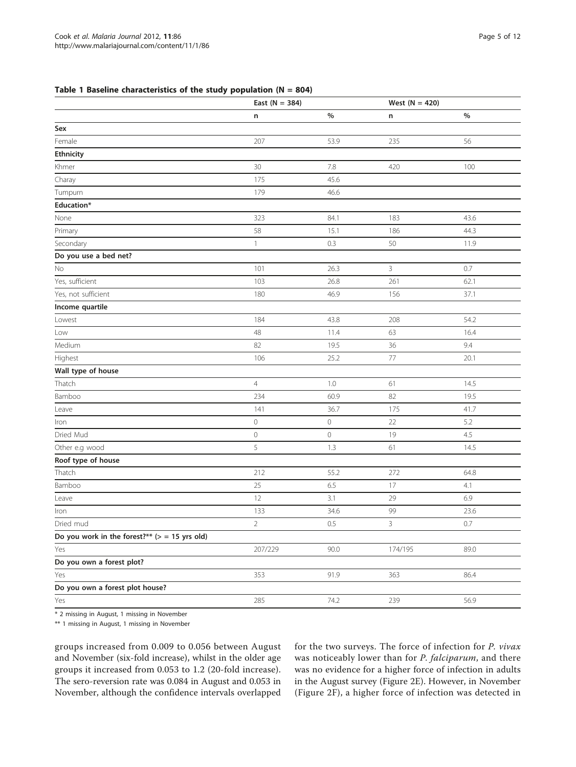#### <span id="page-4-0"></span>Table 1 Baseline characteristics of the study population  $(N = 804)$

|                                                 | East ( $N = 384$ ) |                     | West $(N = 420)$ |      |
|-------------------------------------------------|--------------------|---------------------|------------------|------|
|                                                 | n                  | $\%$                | n                | $\%$ |
| Sex                                             |                    |                     |                  |      |
| Female                                          | 207                | 53.9                | 235              | 56   |
| Ethnicity                                       |                    |                     |                  |      |
| Khmer                                           | 30                 | 7.8                 | 420              | 100  |
| Charay                                          | 175                | 45.6                |                  |      |
| Tumpurn                                         | 179                | 46.6                |                  |      |
| Education*                                      |                    |                     |                  |      |
| None                                            | 323                | 84.1                | 183              | 43.6 |
| Primary                                         | 58                 | 15.1                | 186              | 44.3 |
| Secondary                                       | $\mathbf{1}$       | 0.3                 | 50               | 11.9 |
| Do you use a bed net?                           |                    |                     |                  |      |
| No                                              | 101                | 26.3                | 3                | 0.7  |
| Yes, sufficient                                 | 103                | 26.8                | 261              | 62.1 |
| Yes, not sufficient                             | 180                | 46.9                | 156              | 37.1 |
| Income quartile                                 |                    |                     |                  |      |
| Lowest                                          | 184                | 43.8                | 208              | 54.2 |
| Low                                             | 48                 | 11.4                | 63               | 16.4 |
| Medium                                          | 82                 | 19.5                | 36               | 9.4  |
| Highest                                         | 106                | 25.2                | $77\,$           | 20.1 |
| Wall type of house                              |                    |                     |                  |      |
| Thatch                                          | $\overline{4}$     | $1.0\,$             | 61               | 14.5 |
| Bamboo                                          | 234                | 60.9                | 82               | 19.5 |
| Leave                                           | 141                | 36.7                | 175              | 41.7 |
| Iron                                            | $\mathsf O$        | 0                   | 22               | 5.2  |
| Dried Mud                                       | $\mathcal O$       | $\mathsf{O}\xspace$ | 19               | 4.5  |
| Other e.g wood                                  | 5                  | 1.3                 | 61               | 14.5 |
| Roof type of house                              |                    |                     |                  |      |
| Thatch                                          | 212                | 55.2                | 272              | 64.8 |
| Bamboo                                          | 25                 | 6.5                 | 17               | 4.1  |
| Leave                                           | 12                 | 3.1                 | 29               | 6.9  |
| Iron                                            | 133                | 34.6                | 99               | 23.6 |
| Dried mud                                       | $\overline{2}$     | 0.5                 | $\overline{3}$   | 0.7  |
| Do you work in the forest?** $(>$ = 15 yrs old) |                    |                     |                  |      |
| Yes                                             | 207/229            | 90.0                | 174/195          | 89.0 |
| Do you own a forest plot?                       |                    |                     |                  |      |
| Yes                                             | 353                | 91.9                | 363              | 86.4 |
| Do you own a forest plot house?                 |                    |                     |                  |      |
| Yes                                             | 285                | 74.2                | 239              | 56.9 |

\* 2 missing in August, 1 missing in November

\*\* 1 missing in August, 1 missing in November

groups increased from 0.009 to 0.056 between August and November (six-fold increase), whilst in the older age groups it increased from 0.053 to 1.2 (20-fold increase). The sero-reversion rate was 0.084 in August and 0.053 in November, although the confidence intervals overlapped for the two surveys. The force of infection for P. vivax was noticeably lower than for P. falciparum, and there was no evidence for a higher force of infection in adults in the August survey (Figure [2E\)](#page-6-0). However, in November (Figure [2F\)](#page-6-0), a higher force of infection was detected in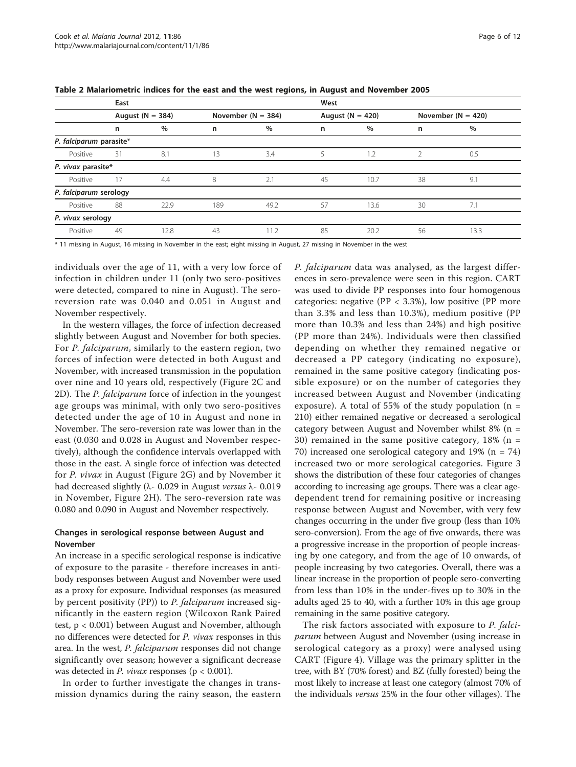|                         | East                 |      |                        |      | West                 |      |                        |      |
|-------------------------|----------------------|------|------------------------|------|----------------------|------|------------------------|------|
|                         | August ( $N = 384$ ) |      | November ( $N = 384$ ) |      | August ( $N = 420$ ) |      | November ( $N = 420$ ) |      |
|                         | n                    | $\%$ | n                      | %    | n                    | $\%$ | n                      | $\%$ |
| P. falciparum parasite* |                      |      |                        |      |                      |      |                        |      |
| Positive                | 31                   | 8.1  | 13                     | 3.4  | 5                    | 1.2  | ำ                      | 0.5  |
| P. vivax parasite*      |                      |      |                        |      |                      |      |                        |      |
| Positive                | 17                   | 4.4  | 8                      | 2.1  | 45                   | 10.7 | 38                     | 9.1  |
| P. falciparum serology  |                      |      |                        |      |                      |      |                        |      |
| Positive                | 88                   | 22.9 | 189                    | 49.2 | 57                   | 13.6 | 30                     | 7.1  |
| P. vivax serology       |                      |      |                        |      |                      |      |                        |      |
| Positive                | 49                   | 12.8 | 43                     | 11.2 | 85                   | 20.2 | 56                     | 13.3 |

<span id="page-5-0"></span>Table 2 Malariometric indices for the east and the west regions, in August and November 2005

\* 11 missing in August, 16 missing in November in the east; eight missing in August, 27 missing in November in the west

individuals over the age of 11, with a very low force of infection in children under 11 (only two sero-positives were detected, compared to nine in August). The seroreversion rate was 0.040 and 0.051 in August and November respectively.

In the western villages, the force of infection decreased slightly between August and November for both species. For P. falciparum, similarly to the eastern region, two forces of infection were detected in both August and November, with increased transmission in the population over nine and 10 years old, respectively (Figure [2C](#page-6-0) and [2D\)](#page-6-0). The P. falciparum force of infection in the youngest age groups was minimal, with only two sero-positives detected under the age of 10 in August and none in November. The sero-reversion rate was lower than in the east (0.030 and 0.028 in August and November respectively), although the confidence intervals overlapped with those in the east. A single force of infection was detected for P. vivax in August (Figure [2G](#page-6-0)) and by November it had decreased slightly  $(\lambda - 0.029)$  in August versus  $\lambda - 0.019$ in November, Figure [2H\)](#page-6-0). The sero-reversion rate was 0.080 and 0.090 in August and November respectively.

## Changes in serological response between August and November

An increase in a specific serological response is indicative of exposure to the parasite - therefore increases in antibody responses between August and November were used as a proxy for exposure. Individual responses (as measured by percent positivity (PP)) to *P. falciparum* increased significantly in the eastern region (Wilcoxon Rank Paired test, p < 0.001) between August and November, although no differences were detected for P. vivax responses in this area. In the west, P. falciparum responses did not change significantly over season; however a significant decrease was detected in *P. vivax* responses ( $p < 0.001$ ).

In order to further investigate the changes in transmission dynamics during the rainy season, the eastern P. falciparum data was analysed, as the largest differences in sero-prevalence were seen in this region. CART was used to divide PP responses into four homogenous categories: negative ( $PP < 3.3\%$ ), low positive ( $PP$  more than 3.3% and less than 10.3%), medium positive (PP more than 10.3% and less than 24%) and high positive (PP more than 24%). Individuals were then classified depending on whether they remained negative or decreased a PP category (indicating no exposure), remained in the same positive category (indicating possible exposure) or on the number of categories they increased between August and November (indicating exposure). A total of 55% of the study population ( $n =$ 210) either remained negative or decreased a serological category between August and November whilst 8% (n = 30) remained in the same positive category,  $18\%$  (n = 70) increased one serological category and 19% (n = 74) increased two or more serological categories. Figure [3](#page-7-0) shows the distribution of these four categories of changes according to increasing age groups. There was a clear agedependent trend for remaining positive or increasing response between August and November, with very few changes occurring in the under five group (less than 10% sero-conversion). From the age of five onwards, there was a progressive increase in the proportion of people increasing by one category, and from the age of 10 onwards, of people increasing by two categories. Overall, there was a linear increase in the proportion of people sero-converting from less than 10% in the under-fives up to 30% in the adults aged 25 to 40, with a further 10% in this age group remaining in the same positive category.

The risk factors associated with exposure to P. falciparum between August and November (using increase in serological category as a proxy) were analysed using CART (Figure [4\)](#page-8-0). Village was the primary splitter in the tree, with BY (70% forest) and BZ (fully forested) being the most likely to increase at least one category (almost 70% of the individuals versus 25% in the four other villages). The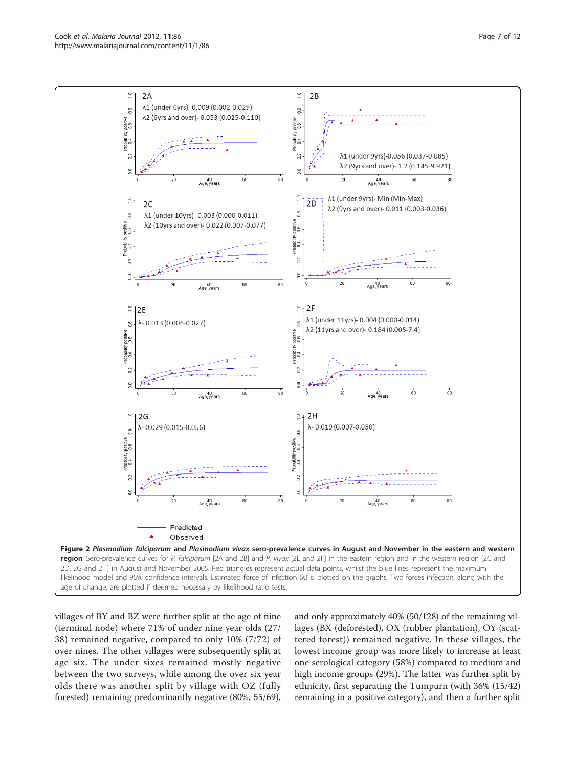<span id="page-6-0"></span>

villages of BY and BZ were further split at the age of nine (terminal node) where 71% of under nine year olds (27/ 38) remained negative, compared to only 10% (7/72) of over nines. The other villages were subsequently split at age six. The under sixes remained mostly negative between the two surveys, while among the over six year olds there was another split by village with OZ (fully forested) remaining predominantly negative (80%, 55/69),

and only approximately 40% (50/128) of the remaining villages (BX (deforested), OX (rubber plantation), OY (scattered forest)) remained negative. In these villages, the lowest income group was more likely to increase at least one serological category (58%) compared to medium and high income groups (29%). The latter was further split by ethnicity, first separating the Tumpurn (with 36% (15/42) remaining in a positive category), and then a further split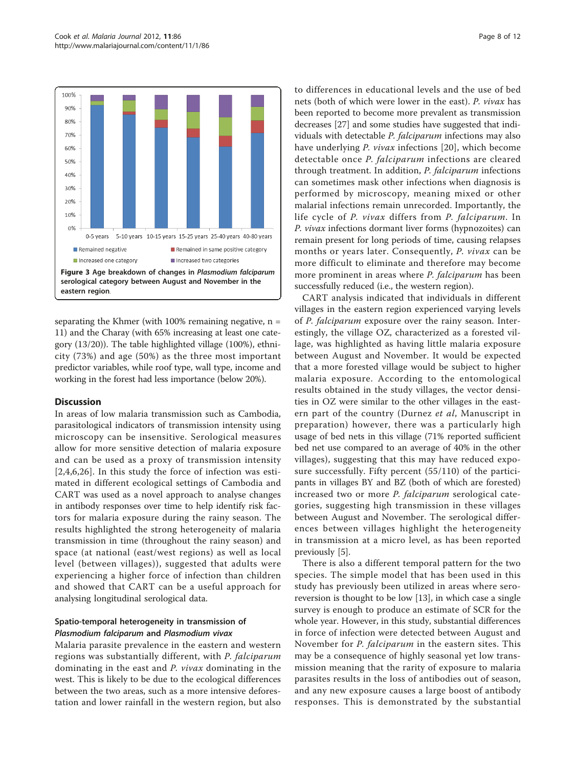<span id="page-7-0"></span>

separating the Khmer (with  $100\%$  remaining negative, n = 11) and the Charay (with 65% increasing at least one category (13/20)). The table highlighted village (100%), ethnicity (73%) and age (50%) as the three most important predictor variables, while roof type, wall type, income and working in the forest had less importance (below 20%).

#### Discussion

In areas of low malaria transmission such as Cambodia, parasitological indicators of transmission intensity using microscopy can be insensitive. Serological measures allow for more sensitive detection of malaria exposure and can be used as a proxy of transmission intensity [[2,4,6,](#page-10-0)[26](#page-11-0)]. In this study the force of infection was estimated in different ecological settings of Cambodia and CART was used as a novel approach to analyse changes in antibody responses over time to help identify risk factors for malaria exposure during the rainy season. The results highlighted the strong heterogeneity of malaria transmission in time (throughout the rainy season) and space (at national (east/west regions) as well as local level (between villages)), suggested that adults were experiencing a higher force of infection than children and showed that CART can be a useful approach for analysing longitudinal serological data.

## Spatio-temporal heterogeneity in transmission of Plasmodium falciparum and Plasmodium vivax

Malaria parasite prevalence in the eastern and western regions was substantially different, with P. falciparum dominating in the east and P. vivax dominating in the west. This is likely to be due to the ecological differences between the two areas, such as a more intensive deforestation and lower rainfall in the western region, but also to differences in educational levels and the use of bed nets (both of which were lower in the east). P. vivax has been reported to become more prevalent as transmission decreases [[27\]](#page-11-0) and some studies have suggested that individuals with detectable P. falciparum infections may also have underlying P. vivax infections [[20](#page-11-0)], which become detectable once P. falciparum infections are cleared through treatment. In addition, P. falciparum infections can sometimes mask other infections when diagnosis is performed by microscopy, meaning mixed or other malarial infections remain unrecorded. Importantly, the life cycle of P. vivax differs from P. falciparum. In P. vivax infections dormant liver forms (hypnozoites) can remain present for long periods of time, causing relapses months or years later. Consequently, P. vivax can be more difficult to eliminate and therefore may become more prominent in areas where *P. falciparum* has been successfully reduced (i.e., the western region).

CART analysis indicated that individuals in different villages in the eastern region experienced varying levels of P. falciparum exposure over the rainy season. Interestingly, the village OZ, characterized as a forested village, was highlighted as having little malaria exposure between August and November. It would be expected that a more forested village would be subject to higher malaria exposure. According to the entomological results obtained in the study villages, the vector densities in OZ were similar to the other villages in the eastern part of the country (Durnez et al, Manuscript in preparation) however, there was a particularly high usage of bed nets in this village (71% reported sufficient bed net use compared to an average of 40% in the other villages), suggesting that this may have reduced exposure successfully. Fifty percent (55/110) of the participants in villages BY and BZ (both of which are forested) increased two or more P. falciparum serological categories, suggesting high transmission in these villages between August and November. The serological differences between villages highlight the heterogeneity in transmission at a micro level, as has been reported previously [\[5](#page-10-0)].

There is also a different temporal pattern for the two species. The simple model that has been used in this study has previously been utilized in areas where seroreversion is thought to be low [[13](#page-11-0)], in which case a single survey is enough to produce an estimate of SCR for the whole year. However, in this study, substantial differences in force of infection were detected between August and November for P. falciparum in the eastern sites. This may be a consequence of highly seasonal yet low transmission meaning that the rarity of exposure to malaria parasites results in the loss of antibodies out of season, and any new exposure causes a large boost of antibody responses. This is demonstrated by the substantial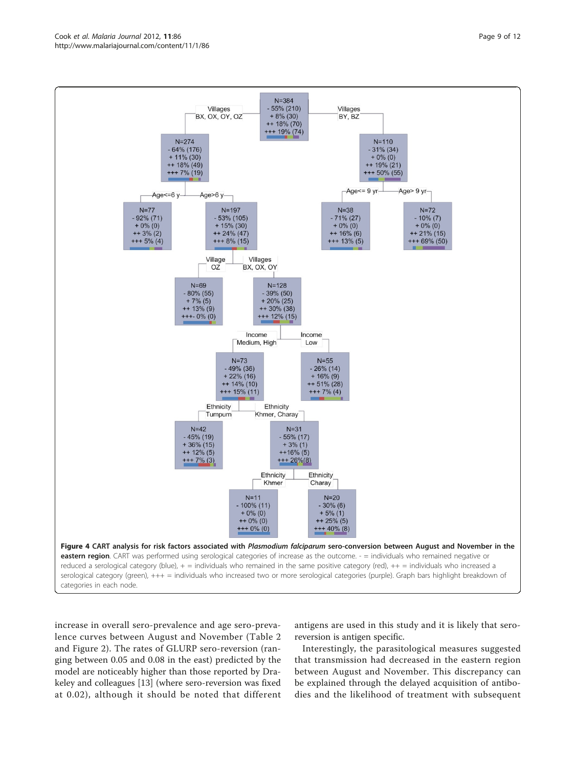<span id="page-8-0"></span>

increase in overall sero-prevalence and age sero-prevalence curves between August and November (Table [2](#page-5-0) and Figure [2\)](#page-6-0). The rates of GLURP sero-reversion (ranging between 0.05 and 0.08 in the east) predicted by the model are noticeably higher than those reported by Drakeley and colleagues [[13](#page-11-0)] (where sero-reversion was fixed at 0.02), although it should be noted that different

antigens are used in this study and it is likely that seroreversion is antigen specific.

Interestingly, the parasitological measures suggested that transmission had decreased in the eastern region between August and November. This discrepancy can be explained through the delayed acquisition of antibodies and the likelihood of treatment with subsequent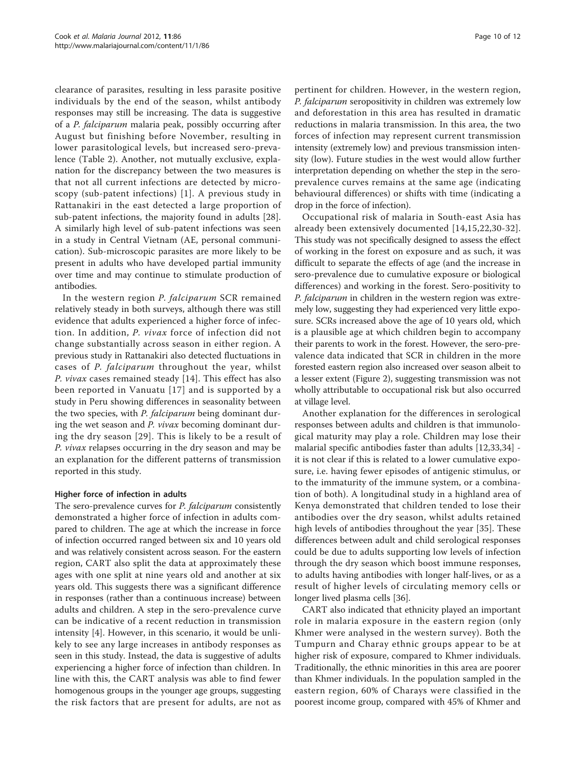clearance of parasites, resulting in less parasite positive individuals by the end of the season, whilst antibody responses may still be increasing. The data is suggestive of a P. falciparum malaria peak, possibly occurring after August but finishing before November, resulting in lower parasitological levels, but increased sero-prevalence (Table [2](#page-5-0)). Another, not mutually exclusive, explanation for the discrepancy between the two measures is that not all current infections are detected by microscopy (sub-patent infections) [[1](#page-10-0)]. A previous study in Rattanakiri in the east detected a large proportion of sub-patent infections, the majority found in adults [\[28](#page-11-0)]. A similarly high level of sub-patent infections was seen in a study in Central Vietnam (AE, personal communication). Sub-microscopic parasites are more likely to be present in adults who have developed partial immunity over time and may continue to stimulate production of antibodies.

In the western region P. falciparum SCR remained relatively steady in both surveys, although there was still evidence that adults experienced a higher force of infection. In addition, P. vivax force of infection did not change substantially across season in either region. A previous study in Rattanakiri also detected fluctuations in cases of *P. falciparum* throughout the year, whilst P. vivax cases remained steady [[14\]](#page-11-0). This effect has also been reported in Vanuatu [[17\]](#page-11-0) and is supported by a study in Peru showing differences in seasonality between the two species, with *P. falciparum* being dominant during the wet season and P. vivax becoming dominant during the dry season [[29](#page-11-0)]. This is likely to be a result of P. vivax relapses occurring in the dry season and may be an explanation for the different patterns of transmission reported in this study.

## Higher force of infection in adults

The sero-prevalence curves for P. falciparum consistently demonstrated a higher force of infection in adults compared to children. The age at which the increase in force of infection occurred ranged between six and 10 years old and was relatively consistent across season. For the eastern region, CART also split the data at approximately these ages with one split at nine years old and another at six years old. This suggests there was a significant difference in responses (rather than a continuous increase) between adults and children. A step in the sero-prevalence curve can be indicative of a recent reduction in transmission intensity [\[4](#page-10-0)]. However, in this scenario, it would be unlikely to see any large increases in antibody responses as seen in this study. Instead, the data is suggestive of adults experiencing a higher force of infection than children. In line with this, the CART analysis was able to find fewer homogenous groups in the younger age groups, suggesting the risk factors that are present for adults, are not as pertinent for children. However, in the western region, P. falciparum seropositivity in children was extremely low and deforestation in this area has resulted in dramatic reductions in malaria transmission. In this area, the two forces of infection may represent current transmission intensity (extremely low) and previous transmission intensity (low). Future studies in the west would allow further interpretation depending on whether the step in the seroprevalence curves remains at the same age (indicating behavioural differences) or shifts with time (indicating a drop in the force of infection).

Occupational risk of malaria in South-east Asia has already been extensively documented [[14](#page-11-0),[15,22](#page-11-0),[30-32](#page-11-0)]. This study was not specifically designed to assess the effect of working in the forest on exposure and as such, it was difficult to separate the effects of age (and the increase in sero-prevalence due to cumulative exposure or biological differences) and working in the forest. Sero-positivity to P. falciparum in children in the western region was extremely low, suggesting they had experienced very little exposure. SCRs increased above the age of 10 years old, which is a plausible age at which children begin to accompany their parents to work in the forest. However, the sero-prevalence data indicated that SCR in children in the more forested eastern region also increased over season albeit to a lesser extent (Figure [2\)](#page-6-0), suggesting transmission was not wholly attributable to occupational risk but also occurred at village level.

Another explanation for the differences in serological responses between adults and children is that immunological maturity may play a role. Children may lose their malarial specific antibodies faster than adults [\[12,33,34\]](#page-11-0) it is not clear if this is related to a lower cumulative exposure, i.e. having fewer episodes of antigenic stimulus, or to the immaturity of the immune system, or a combination of both). A longitudinal study in a highland area of Kenya demonstrated that children tended to lose their antibodies over the dry season, whilst adults retained high levels of antibodies throughout the year [[35\]](#page-11-0). These differences between adult and child serological responses could be due to adults supporting low levels of infection through the dry season which boost immune responses, to adults having antibodies with longer half-lives, or as a result of higher levels of circulating memory cells or longer lived plasma cells [[36](#page-11-0)].

CART also indicated that ethnicity played an important role in malaria exposure in the eastern region (only Khmer were analysed in the western survey). Both the Tumpurn and Charay ethnic groups appear to be at higher risk of exposure, compared to Khmer individuals. Traditionally, the ethnic minorities in this area are poorer than Khmer individuals. In the population sampled in the eastern region, 60% of Charays were classified in the poorest income group, compared with 45% of Khmer and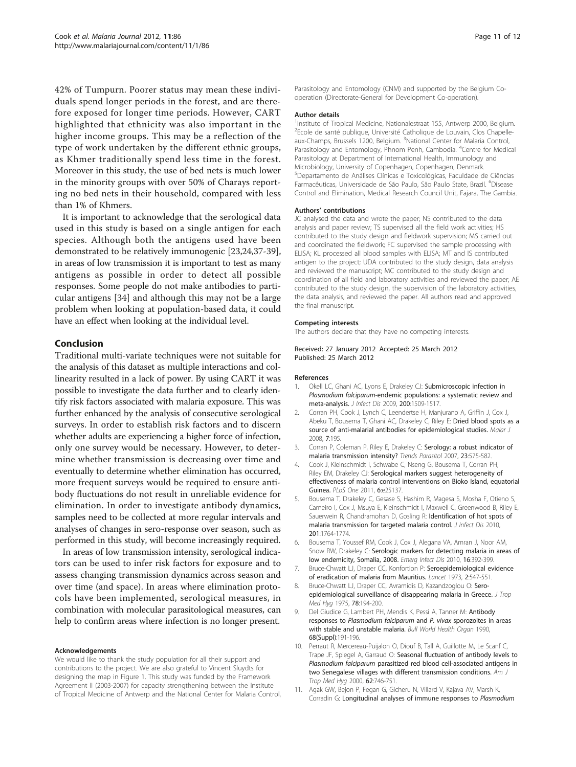<span id="page-10-0"></span>42% of Tumpurn. Poorer status may mean these individuals spend longer periods in the forest, and are therefore exposed for longer time periods. However, CART highlighted that ethnicity was also important in the higher income groups. This may be a reflection of the type of work undertaken by the different ethnic groups, as Khmer traditionally spend less time in the forest. Moreover in this study, the use of bed nets is much lower in the minority groups with over 50% of Charays reporting no bed nets in their household, compared with less than 1% of Khmers.

It is important to acknowledge that the serological data used in this study is based on a single antigen for each species. Although both the antigens used have been demonstrated to be relatively immunogenic [[23](#page-11-0),[24,37](#page-11-0)-[39](#page-11-0)], in areas of low transmission it is important to test as many antigens as possible in order to detect all possible responses. Some people do not make antibodies to particular antigens [\[34](#page-11-0)] and although this may not be a large problem when looking at population-based data, it could have an effect when looking at the individual level.

#### Conclusion

Traditional multi-variate techniques were not suitable for the analysis of this dataset as multiple interactions and collinearity resulted in a lack of power. By using CART it was possible to investigate the data further and to clearly identify risk factors associated with malaria exposure. This was further enhanced by the analysis of consecutive serological surveys. In order to establish risk factors and to discern whether adults are experiencing a higher force of infection, only one survey would be necessary. However, to determine whether transmission is decreasing over time and eventually to determine whether elimination has occurred, more frequent surveys would be required to ensure antibody fluctuations do not result in unreliable evidence for elimination. In order to investigate antibody dynamics, samples need to be collected at more regular intervals and analyses of changes in sero-response over season, such as performed in this study, will become increasingly required.

In areas of low transmission intensity, serological indicators can be used to infer risk factors for exposure and to assess changing transmission dynamics across season and over time (and space). In areas where elimination protocols have been implemented, serological measures, in combination with molecular parasitological measures, can help to confirm areas where infection is no longer present.

#### Acknowledgements

We would like to thank the study population for all their support and contributions to the project. We are also grateful to Vincent Sluydts for designing the map in Figure [1.](#page-1-0) This study was funded by the Framework Agreement II (2003-2007) for capacity strengthening between the Institute of Tropical Medicine of Antwerp and the National Center for Malaria Control, Parasitology and Entomology (CNM) and supported by the Belgium Cooperation (Directorate-General for Development Co-operation).

#### Author details

<sup>1</sup>Institute of Tropical Medicine, Nationalestraat 155, Antwerp 2000, Belgium <sup>2</sup>Ecole de santé publique, Université Catholique de Louvain, Clos Chapelleaux-Champs, Brussels 1200, Belgium. <sup>3</sup>National Center for Malaria Control Parasitology and Entomology, Phnom Penh, Cambodia. <sup>4</sup>Centre for Medical Parasitology at Department of International Health, Immunology and Microbiology, University of Copenhagen, Copenhagen, Denmark. 5 Departamento de Análises Clínicas e Toxicológicas, Faculdade de Ciências Farmacêuticas, Universidade de São Paulo, São Paulo State, Brazil. <sup>6</sup>Disease Control and Elimination, Medical Research Council Unit, Fajara, The Gambia.

#### Authors' contributions

JC analysed the data and wrote the paper; NS contributed to the data analysis and paper review; TS supervised all the field work activities; HS contributed to the study design and fieldwork supervision; MS carried out and coordinated the fieldwork; FC supervised the sample processing with ELISA; KL processed all blood samples with ELISA; MT and IS contributed antigen to the project; UDA contributed to the study design, data analysis and reviewed the manuscript; MC contributed to the study design and coordination of all field and laboratory activities and reviewed the paper; AE contributed to the study design, the supervision of the laboratory activities, the data analysis, and reviewed the paper. All authors read and approved the final manuscript.

#### Competing interests

The authors declare that they have no competing interests.

Received: 27 January 2012 Accepted: 25 March 2012 Published: 25 March 2012

#### References

- Okell LC, Ghani AC, Lyons E, Drakeley CJ: [Submicroscopic infection in](http://www.ncbi.nlm.nih.gov/pubmed/19848588?dopt=Abstract) Plasmodium falciparum[-endemic populations: a systematic review and](http://www.ncbi.nlm.nih.gov/pubmed/19848588?dopt=Abstract) [meta-analysis.](http://www.ncbi.nlm.nih.gov/pubmed/19848588?dopt=Abstract) J Infect Dis 2009, 200:1509-1517.
- 2. Corran PH, Cook J, Lynch C, Leendertse H, Manjurano A, Griffin J, Cox J, Abeku T, Bousema T, Ghani AC, Drakeley C, Riley E: [Dried blood spots as a](http://www.ncbi.nlm.nih.gov/pubmed/18826573?dopt=Abstract) [source of anti-malarial antibodies for epidemiological studies.](http://www.ncbi.nlm.nih.gov/pubmed/18826573?dopt=Abstract) Malar J 2008, 7:195.
- 3. Corran P, Coleman P, Riley E, Drakeley C: [Serology: a robust indicator of](http://www.ncbi.nlm.nih.gov/pubmed/17988945?dopt=Abstract) [malaria transmission intensity?](http://www.ncbi.nlm.nih.gov/pubmed/17988945?dopt=Abstract) Trends Parasitol 2007, 23:575-582.
- 4. Cook J, Kleinschmidt I, Schwabe C, Nseng G, Bousema T, Corran PH Riley EM, Drakeley CJ: [Serological markers suggest heterogeneity of](http://www.ncbi.nlm.nih.gov/pubmed/21980386?dopt=Abstract) [effectiveness of malaria control interventions on Bioko Island, equatorial](http://www.ncbi.nlm.nih.gov/pubmed/21980386?dopt=Abstract) [Guinea.](http://www.ncbi.nlm.nih.gov/pubmed/21980386?dopt=Abstract) PLoS One 2011, 6:e25137.
- 5. Bousema T, Drakeley C, Gesase S, Hashim R, Magesa S, Mosha F, Otieno S, Carneiro I, Cox J, Msuya E, Kleinschmidt I, Maxwell C, Greenwood B, Riley E, Sauerwein R, Chandramohan D, Gosling R: [Identification of hot spots of](http://www.ncbi.nlm.nih.gov/pubmed/20415536?dopt=Abstract) [malaria transmission for targeted malaria control.](http://www.ncbi.nlm.nih.gov/pubmed/20415536?dopt=Abstract) *J Infect Dis* 2010, 201:1764-1774.
- 6. Bousema T, Youssef RM, Cook J, Cox J, Alegana VA, Amran J, Noor AM, Snow RW, Drakeley C: [Serologic markers for detecting malaria in areas of](http://www.ncbi.nlm.nih.gov/pubmed/20202412?dopt=Abstract) [low endemicity, Somalia, 2008.](http://www.ncbi.nlm.nih.gov/pubmed/20202412?dopt=Abstract) Emerg Infect Dis 2010, 16:392-399.
- 7. Bruce-Chwatt LJ, Draper CC, Konfortion P: [Seroepidemiological evidence](http://www.ncbi.nlm.nih.gov/pubmed/4125305?dopt=Abstract) [of eradication of malaria from Mauritius.](http://www.ncbi.nlm.nih.gov/pubmed/4125305?dopt=Abstract) Lancet 1973, 2:547-551.
- 8. Bruce-Chwatt LJ, Draper CC, Avramidis D, Kazandzoglou O: [Sero](http://www.ncbi.nlm.nih.gov/pubmed/772232?dopt=Abstract)[epidemiological surveillance of disappearing malaria in Greece.](http://www.ncbi.nlm.nih.gov/pubmed/772232?dopt=Abstract) J Trop Med Hyg 1975, 78:194-200.
- 9. Del Giudice G, Lambert PH, Mendis K, Pessi A, Tanner M: [Antibody](http://www.ncbi.nlm.nih.gov/pubmed/2094587?dopt=Abstract) responses to Plasmodium falciparum and P. vivax [sporozoites in areas](http://www.ncbi.nlm.nih.gov/pubmed/2094587?dopt=Abstract) [with stable and unstable malaria.](http://www.ncbi.nlm.nih.gov/pubmed/2094587?dopt=Abstract) Bull World Health Organ 1990, 68(Suppl):191-196.
- 10. Perraut R, Mercereau-Puijalon O, Diouf B, Tall A, Guillotte M, Le Scanf C, Trape JF, Spiegel A, Garraud O: [Seasonal fluctuation of antibody levels to](http://www.ncbi.nlm.nih.gov/pubmed/11304067?dopt=Abstract) Plasmodium falciparum [parasitized red blood cell-associated antigens in](http://www.ncbi.nlm.nih.gov/pubmed/11304067?dopt=Abstract) [two Senegalese villages with different transmission conditions.](http://www.ncbi.nlm.nih.gov/pubmed/11304067?dopt=Abstract) Am J Trop Med Hyg 2000, 62:746-751.
- 11. Agak GW, Bejon P, Fegan G, Gicheru N, Villard V, Kajava AV, Marsh K, Corradin G: [Longitudinal analyses of immune responses to](http://www.ncbi.nlm.nih.gov/pubmed/18342997?dopt=Abstract) Plasmodium